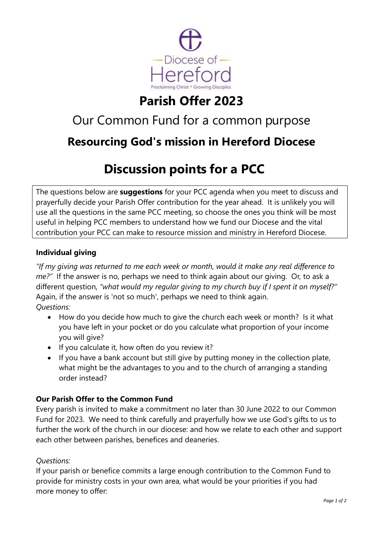

# **Parish Offer 2023**

# Our Common Fund for a common purpose

## **Resourcing God's mission in Hereford Diocese**

# **Discussion points for a PCC**

The questions below are **suggestions** for your PCC agenda when you meet to discuss and prayerfully decide your Parish Offer contribution for the year ahead. It is unlikely you will use all the questions in the same PCC meeting, so choose the ones you think will be most useful in helping PCC members to understand how we fund our Diocese and the vital contribution your PCC can make to resource mission and ministry in Hereford Diocese.

### **Individual giving**

*"If my giving was returned to me each week or month, would it make any real difference to me?"* If the answer is no, perhaps we need to think again about our giving. Or, to ask a different question, *"what would my regular giving to my church buy if I spent it on myself?"*  Again, if the answer is 'not so much', perhaps we need to think again. *Questions:*

- How do you decide how much to give the church each week or month? Is it what you have left in your pocket or do you calculate what proportion of your income you will give?
- If you calculate it, how often do you review it?
- If you have a bank account but still give by putting money in the collection plate, what might be the advantages to you and to the church of arranging a standing order instead?

### **Our Parish Offer to the Common Fund**

Every parish is invited to make a commitment no later than 30 June 2022 to our Common Fund for 2023. We need to think carefully and prayerfully how we use God's gifts to us to further the work of the church in our diocese: and how we relate to each other and support each other between parishes, benefices and deaneries.

### *Questions:*

If your parish or benefice commits a large enough contribution to the Common Fund to provide for ministry costs in your own area, what would be your priorities if you had more money to offer: